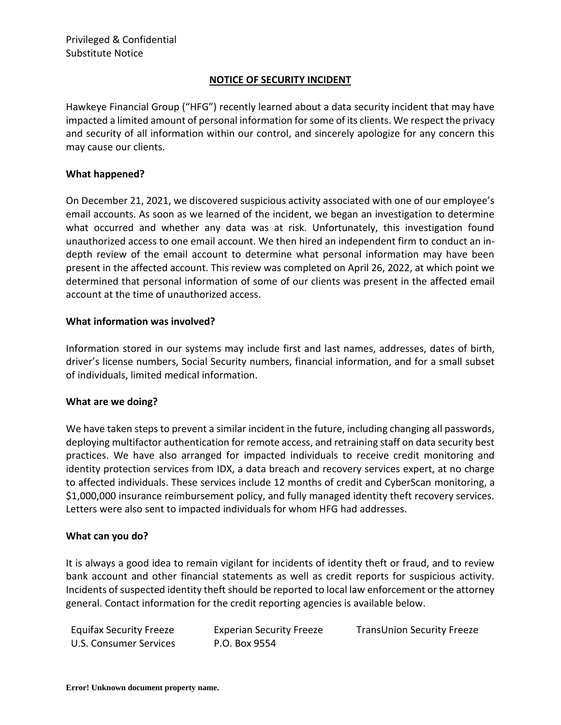# **NOTICE OF SECURITY INCIDENT**

Hawkeye Financial Group ("HFG") recently learned about a data security incident that may have impacted a limited amount of personal information for some of its clients. We respect the privacy and security of all information within our control, and sincerely apologize for any concern this may cause our clients.

## **What happened?**

On December 21, 2021, we discovered suspicious activity associated with one of our employee's email accounts. As soon as we learned of the incident, we began an investigation to determine what occurred and whether any data was at risk. Unfortunately, this investigation found unauthorized access to one email account. We then hired an independent firm to conduct an indepth review of the email account to determine what personal information may have been present in the affected account. This review was completed on April 26, 2022, at which point we determined that personal information of some of our clients was present in the affected email account at the time of unauthorized access.

### **What information was involved?**

Information stored in our systems may include first and last names, addresses, dates of birth, driver's license numbers, Social Security numbers, financial information, and for a small subset of individuals, limited medical information.

### **What are we doing?**

We have taken steps to prevent a similar incident in the future, including changing all passwords, deploying multifactor authentication for remote access, and retraining staff on data security best practices. We have also arranged for impacted individuals to receive credit monitoring and identity protection services from IDX, a data breach and recovery services expert, at no charge to affected individuals. These services include 12 months of credit and CyberScan monitoring, a \$1,000,000 insurance reimbursement policy, and fully managed identity theft recovery services. Letters were also sent to impacted individuals for whom HFG had addresses.

### **What can you do?**

It is always a good idea to remain vigilant for incidents of identity theft or fraud, and to review bank account and other financial statements as well as credit reports for suspicious activity. Incidents of suspected identity theft should be reported to local law enforcement or the attorney general. Contact information for the credit reporting agencies is available below.

| <b>Equifax Security Freeze</b> | <b>Experian Security Freeze</b> | <b>TransUnion Security Freeze</b> |
|--------------------------------|---------------------------------|-----------------------------------|
| U.S. Consumer Services         | P.O. Box 9554                   |                                   |